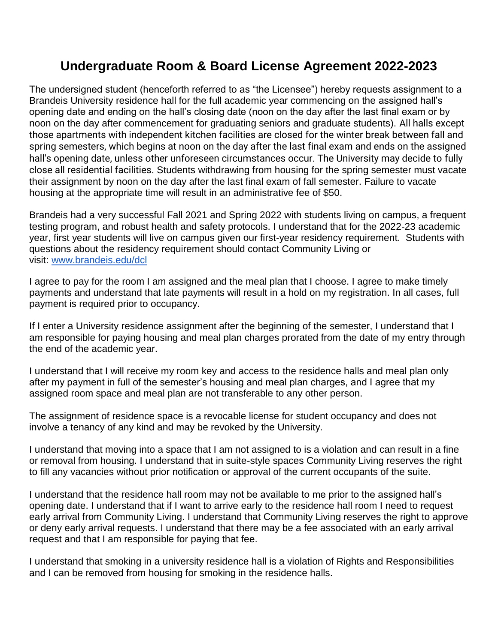# **Undergraduate Room & Board License Agreement 2022-2023**

The undersigned student (henceforth referred to as "the Licensee") hereby requests assignment to a Brandeis University residence hall for the full academic year commencing on the assigned hall's opening date and ending on the hall's closing date (noon on the day after the last final exam or by noon on the day after commencement for graduating seniors and graduate students). All halls except those apartments with independent kitchen facilities are closed for the winter break between fall and spring semesters, which begins at noon on the day after the last final exam and ends on the assigned hall's opening date, unless other unforeseen circumstances occur. The University may decide to fully close all residential facilities. Students withdrawing from housing for the spring semester must vacate their assignment by noon on the day after the last final exam of fall semester. Failure to vacate housing at the appropriate time will result in an administrative fee of \$50.

Brandeis had a very successful Fall 2021 and Spring 2022 with students living on campus, a frequent testing program, and robust health and safety protocols. I understand that for the 2022-23 academic year, first year students will live on campus given our first-year residency requirement. Students with questions about the residency requirement should contact Community Living or visit: [www.brandeis.edu/dcl](http://www.brandeis.edu/dcl)

I agree to pay for the room I am assigned and the meal plan that I choose. I agree to make timely payments and understand that late payments will result in a hold on my registration. In all cases, full payment is required prior to occupancy.

If I enter a University residence assignment after the beginning of the semester, I understand that I am responsible for paying housing and meal plan charges prorated from the date of my entry through the end of the academic year.

I understand that I will receive my room key and access to the residence halls and meal plan only after my payment in full of the semester's housing and meal plan charges, and I agree that my assigned room space and meal plan are not transferable to any other person.

The assignment of residence space is a revocable license for student occupancy and does not involve a tenancy of any kind and may be revoked by the University.

I understand that moving into a space that I am not assigned to is a violation and can result in a fine or removal from housing. I understand that in suite-style spaces Community Living reserves the right to fill any vacancies without prior notification or approval of the current occupants of the suite.

I understand that the residence hall room may not be available to me prior to the assigned hall's opening date. I understand that if I want to arrive early to the residence hall room I need to request early arrival from Community Living. I understand that Community Living reserves the right to approve or deny early arrival requests. I understand that there may be a fee associated with an early arrival request and that I am responsible for paying that fee.

I understand that smoking in a university residence hall is a violation of Rights and Responsibilities and I can be removed from housing for smoking in the residence halls.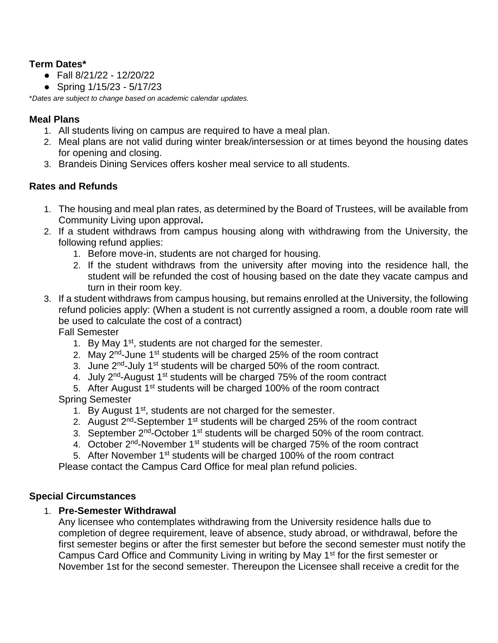#### **Term Dates\***

- $\bullet$  Fall 8/21/22 12/20/22
- Spring 1/15/23 5/17/23

\**Dates are subject to change based on academic calendar updates.*

# **Meal Plans**

- 1. All students living on campus are required to have a meal plan.
- 2. Meal plans are not valid during winter break/intersession or at times beyond the housing dates for opening and closing.
- 3. Brandeis Dining Services offers kosher meal service to all students.

# **Rates and Refunds**

- 1. The housing and meal plan rates, as determined by the Board of Trustees, will be available from Community Living upon approval**.**
- 2. If a student withdraws from campus housing along with withdrawing from the University, the following refund applies:
	- 1. Before move-in, students are not charged for housing.
	- 2. If the student withdraws from the university after moving into the residence hall, the student will be refunded the cost of housing based on the date they vacate campus and turn in their room key.
- 3. If a student withdraws from campus housing, but remains enrolled at the University, the following refund policies apply: (When a student is not currently assigned a room, a double room rate will be used to calculate the cost of a contract)

Fall Semester

- 1. By May 1<sup>st</sup>, students are not charged for the semester.
- 2. May 2<sup>nd</sup>-June 1<sup>st</sup> students will be charged 25% of the room contract
- 3. June 2<sup>nd</sup>-July 1<sup>st</sup> students will be charged 50% of the room contract.
- 4. July 2<sup>nd</sup>-August 1<sup>st</sup> students will be charged 75% of the room contract
- 5. After August 1<sup>st</sup> students will be charged 100% of the room contract

# Spring Semester

- 1. By August  $1<sup>st</sup>$ , students are not charged for the semester.
- 2. August 2<sup>nd</sup>-September 1<sup>st</sup> students will be charged 25% of the room contract
- 3. September  $2^{nd}$ -October  $1^{st}$  students will be charged 50% of the room contract.
- 4. October 2<sup>nd</sup>-November 1<sup>st</sup> students will be charged 75% of the room contract
- 5. After November 1<sup>st</sup> students will be charged 100% of the room contract

Please contact the Campus Card Office for meal plan refund policies.

# **Special Circumstances**

# 1. **Pre-Semester Withdrawal**

Any licensee who contemplates withdrawing from the University residence halls due to completion of degree requirement, leave of absence, study abroad, or withdrawal, before the first semester begins or after the first semester but before the second semester must notify the Campus Card Office and Community Living in writing by May 1<sup>st</sup> for the first semester or November 1st for the second semester. Thereupon the Licensee shall receive a credit for the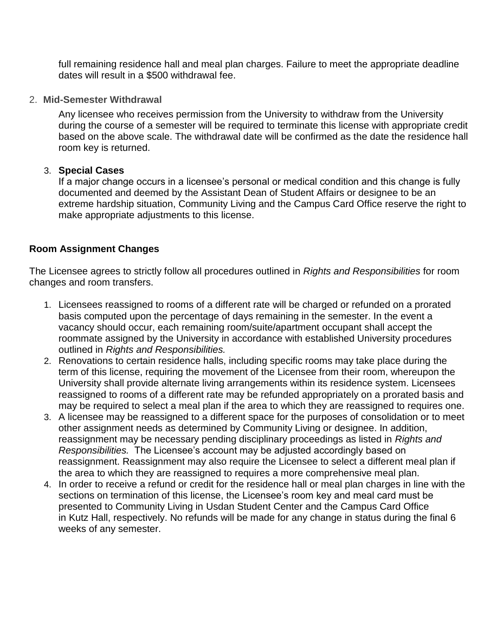full remaining residence hall and meal plan charges. Failure to meet the appropriate deadline dates will result in a \$500 withdrawal fee.

2. **Mid-Semester Withdrawal**

Any licensee who receives permission from the University to withdraw from the University during the course of a semester will be required to terminate this license with appropriate credit based on the above scale. The withdrawal date will be confirmed as the date the residence hall room key is returned.

#### 3. **Special Cases**

If a major change occurs in a licensee's personal or medical condition and this change is fully documented and deemed by the Assistant Dean of Student Affairs or designee to be an extreme hardship situation, Community Living and the Campus Card Office reserve the right to make appropriate adjustments to this license.

# **Room Assignment Changes**

The Licensee agrees to strictly follow all procedures outlined in *Rights and Responsibilities* for room changes and room transfers.

- 1. Licensees reassigned to rooms of a different rate will be charged or refunded on a prorated basis computed upon the percentage of days remaining in the semester. In the event a vacancy should occur, each remaining room/suite/apartment occupant shall accept the roommate assigned by the University in accordance with established University procedures outlined in *Rights and Responsibilities.*
- 2. Renovations to certain residence halls, including specific rooms may take place during the term of this license, requiring the movement of the Licensee from their room, whereupon the University shall provide alternate living arrangements within its residence system. Licensees reassigned to rooms of a different rate may be refunded appropriately on a prorated basis and may be required to select a meal plan if the area to which they are reassigned to requires one.
- 3. A licensee may be reassigned to a different space for the purposes of consolidation or to meet other assignment needs as determined by Community Living or designee. In addition, reassignment may be necessary pending disciplinary proceedings as listed in *Rights and Responsibilities.* The Licensee's account may be adjusted accordingly based on reassignment. Reassignment may also require the Licensee to select a different meal plan if the area to which they are reassigned to requires a more comprehensive meal plan.
- 4. In order to receive a refund or credit for the residence hall or meal plan charges in line with the sections on termination of this license, the Licensee's room key and meal card must be presented to Community Living in Usdan Student Center and the Campus Card Office in Kutz Hall, respectively. No refunds will be made for any change in status during the final 6 weeks of any semester.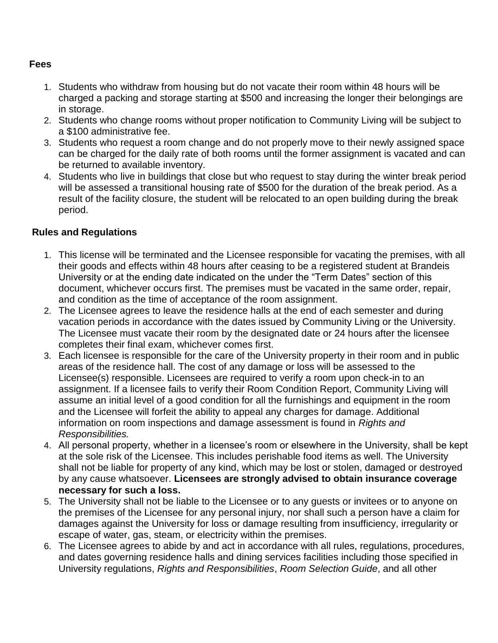#### **Fees**

- 1. Students who withdraw from housing but do not vacate their room within 48 hours will be charged a packing and storage starting at \$500 and increasing the longer their belongings are in storage.
- 2. Students who change rooms without proper notification to Community Living will be subject to a \$100 administrative fee.
- 3. Students who request a room change and do not properly move to their newly assigned space can be charged for the daily rate of both rooms until the former assignment is vacated and can be returned to available inventory.
- 4. Students who live in buildings that close but who request to stay during the winter break period will be assessed a transitional housing rate of \$500 for the duration of the break period. As a result of the facility closure, the student will be relocated to an open building during the break period.

#### **Rules and Regulations**

- 1. This license will be terminated and the Licensee responsible for vacating the premises, with all their goods and effects within 48 hours after ceasing to be a registered student at Brandeis University or at the ending date indicated on the under the "Term Dates" section of this document, whichever occurs first. The premises must be vacated in the same order, repair, and condition as the time of acceptance of the room assignment.
- 2. The Licensee agrees to leave the residence halls at the end of each semester and during vacation periods in accordance with the dates issued by Community Living or the University. The Licensee must vacate their room by the designated date or 24 hours after the licensee completes their final exam, whichever comes first.
- 3. Each licensee is responsible for the care of the University property in their room and in public areas of the residence hall. The cost of any damage or loss will be assessed to the Licensee(s) responsible. Licensees are required to verify a room upon check-in to an assignment. If a licensee fails to verify their Room Condition Report, Community Living will assume an initial level of a good condition for all the furnishings and equipment in the room and the Licensee will forfeit the ability to appeal any charges for damage. Additional information on room inspections and damage assessment is found in *Rights and Responsibilities.*
- 4. All personal property, whether in a licensee's room or elsewhere in the University, shall be kept at the sole risk of the Licensee. This includes perishable food items as well. The University shall not be liable for property of any kind, which may be lost or stolen, damaged or destroyed by any cause whatsoever. **Licensees are strongly advised to obtain insurance coverage necessary for such a loss.**
- 5. The University shall not be liable to the Licensee or to any guests or invitees or to anyone on the premises of the Licensee for any personal injury, nor shall such a person have a claim for damages against the University for loss or damage resulting from insufficiency, irregularity or escape of water, gas, steam, or electricity within the premises.
- 6. The Licensee agrees to abide by and act in accordance with all rules, regulations, procedures, and dates governing residence halls and dining services facilities including those specified in University regulations, *Rights and Responsibilities*, *Room Selection Guide*, and all other